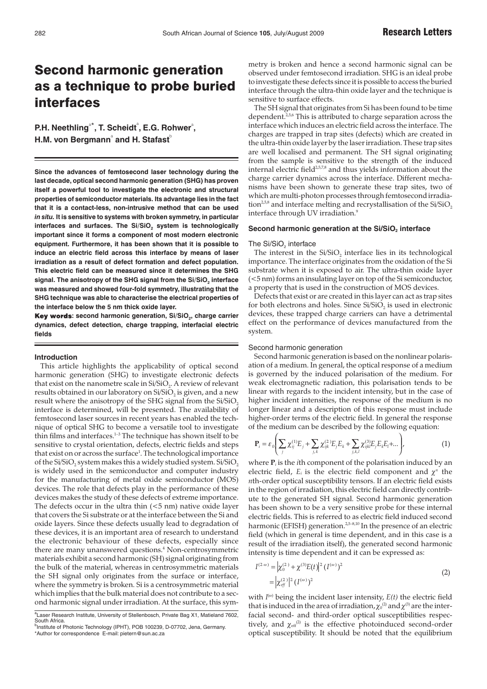# Second harmonic generation as a technique to probe buried interfaces

P.H. Neethling<sup>a\*</sup>, T. Scheidt<sup>a</sup>, E.G. Rohwer<sup>a</sup>, **H.M. von Bergmann**˚ and H. Stafast<sup>ხ</sup>

**Since the advances of femtosecond laser technology during the last decade, optical second harmonic generation (SHG) has proven itself a powerful tool to investigate the electronic and structural properties of semiconductor materials. Its advantage lies in the fact that it is a contact-less, non-intrusive method that can be used** *in situ.* **It is sensitive to systems with broken symmetry, in particular** interfaces and surfaces. The Si/SiO<sub>2</sub> system is technologically **important since it forms a component of most modern electronic equipment. Furthermore, it has been shown that it is possible to induce an electric field across this interface by means of laser irradiation as a result of defect formation and defect population. This electric field can be measured since it determines the SHG** signal. The anisotropy of the SHG signal from the Si/SiO<sub>2</sub> interface **was measured and showed four-fold symmetry, illustrating that the SHG technique was able to characterise the electrical properties of the interface below the 5 nm thick oxide layer.**

Key words: second harmonic generation, Si/SiO<sub>2</sub>, charge carrier **dynamics, defect detection, charge trapping, interfacial electric fields**

## **Introduction**

This article highlights the applicability of optical second harmonic generation (SHG) to investigate electronic defects that exist on the nanometre scale in Si/SiO<sub>2</sub>. A review of relevant results obtained in our laboratory on Si/SiO<sub>2</sub> is given, and a new result where the anisotropy of the SHG signal from the  $Si/SiO<sub>2</sub>$ interface is determined, will be presented. The availability of femtosecond laser sources in recent years has enabled the technique of optical SHG to become a versatile tool to investigate thin films and interfaces.1–3 The technique has shown itself to be sensitive to crystal orientation, defects, electric fields and steps that exist on or across the surface<sup>1</sup>. The technological importance of the Si/SiO<sub>2</sub> system makes this a widely studied system. Si/SiO<sub>2</sub> is widely used in the semiconductor and computer industry for the manufacturing of metal oxide semiconductor (MOS) devices. The role that defects play in the performance of these devices makes the study of these defects of extreme importance. The defects occur in the ultra thin  $(<5$  nm) native oxide layer that covers the Si substrate or at the interface between the Si and oxide layers. Since these defects usually lead to degradation of these devices, it is an important area of research to understand the electronic behaviour of these defects, especially since there are many unanswered questions.<sup>4</sup> Non-centrosymmetric materials exhibit a second harmonic (SH) signal originating from the bulk of the material, whereas in centrosymmetric materials the SH signal only originates from the surface or interface, where the symmetry is broken. Si is a centrosymmetric material which implies that the bulk material does not contribute to a second harmonic signal under irradiation. At the surface, this symmetry is broken and hence a second harmonic signal can be observed under femtosecond irradiation. SHG is an ideal probe to investigate these defects since it is possible to access the buried interface through the ultra-thin oxide layer and the technique is sensitive to surface effects.

The SH signal that originates from Si has been found to be time dependent.<sup>2,5,6</sup> This is attributed to charge separation across the interface which induces an electric field across the interface. The charges are trapped in trap sites (defects) which are created in the ultra-thin oxide layer by the laser irradiation. These trap sites are well localised and permanent. The SH signal originating from the sample is sensitive to the strength of the induced internal electric field<sup>2,5,7,8</sup> and thus yields information about the charge carrier dynamics across the interface. Different mechanisms have been shown to generate these trap sites, two of which are multi-photon processes through femtosecond irradiation<sup>2,5,8</sup> and interface melting and recrystallisation of the  $Si/SiO<sub>2</sub>$ interface through UV irradiation.<sup>9</sup>

## Second harmonic generation at the Si/SiO<sub>2</sub> interface

#### The Si/SiO<sub>2</sub> interface

The interest in the  $Si/SiO<sub>2</sub>$  interface lies in its technological importance. The interface originates from the oxidation of the Si substrate when it is exposed to air. The ultra-thin oxide layer (<5 nm) forms an insulating layer on top of the Si semiconductor, a property that is used in the construction of MOS devices.

Defects that exist or are created in this layer can act as trap sites for both electrons and holes. Since Si/SiO<sub>2</sub> is used in electronic devices, these trapped charge carriers can have a detrimental effect on the performance of devices manufactured from the system.

## Second harmonic generation

Second harmonic generation is based on the nonlinear polarisation of a medium. In general, the optical response of a medium is governed by the induced polarisation of the medium. For weak electromagnetic radiation, this polarisation tends to be linear with regards to the incident intensity, but in the case of higher incident intensities, the response of the medium is no longer linear and a description of this response must include higher-order terms of the electric field. In general the response of the medium can be described by the following equation:

$$
\mathbf{P}_{i} = \varepsilon_{0} \Bigg( \sum_{j} \chi_{ij}^{(1)} E_{j} + \sum_{j,k} \chi_{ijk}^{(2)} E_{j} E_{k} + \sum_{j,k,l} \chi_{ijkl}^{(3)} E_{j} E_{k} E_{l} + ... \Bigg), \tag{1}
$$

where  $P_i$  is the *i*th component of the polarisation induced by an electric field,  $E_i$  is the electric field component and  $\chi^n$  the *n*th-order optical susceptibility tensors. If an electric field exists in the region of irradiation, this electric field can directly contribute to the generated SH signal. Second harmonic generation has been shown to be a very sensitive probe for these internal electric fields. This is referred to as electric field induced second harmonic (EFISH) generation.<sup>2,5–8,10</sup> In the presence of an electric field (which in general is time dependent, and in this case is a result of the irradiation itself), the generated second harmonic intensity is time dependent and it can be expressed as:

$$
I^{(2\omega)} = |\chi_0^{(2)} + \chi^{(3)}E(t)|^2 (I^{(\omega)})^2
$$
  
=  $|\chi_{cf}^{(2)}|^2 (I^{(\omega)})^2$  (2)

with *I<sup>(ω)</sup>* being the incident laser intensity, *E(t)* the electric field that is induced in the area of irradiation,  $\chi_0{}^{(2)}$  and  $\chi^{(3)}$  are the interfacial second- and third-order optical susceptibilities respectively, and  $\chi_{\text{eff}}^{(2)}$  is the effective photoinduced second-order optical susceptibility. It should be noted that the equilibrium

<sup>&</sup>lt;sup>a</sup>Laser Research Institute, University of Stellenbosch, Private Bag X1, Matieland 7602, South Africa. <sup>b</sup>Institute of Photonic Technology (IPHT), POB 100239, D-07702, Jena, Germany.

<sup>\*</sup>Author for correspondence E-mail: pietern@sun.ac.za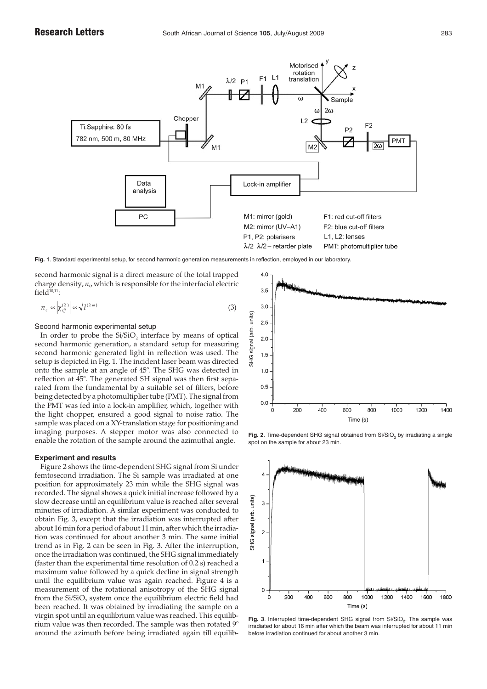

**Fig. 1**. Standard experimental setup, for second harmonic generation measurements in reflection, employed in our laboratory.

second harmonic signal is a direct measure of the total trapped charge density, *nc*, which is responsible for the interfacial electric field $\overline{10,11}$ :

$$
n_c \propto \left| \chi_{\text{eff}}^{(2)} \right| \propto \sqrt{I^{(2\,\omega)}}
$$
\n(3)

Second harmonic experimental setup

In order to probe the  $Si/SiO<sub>2</sub>$  interface by means of optical second harmonic generation, a standard setup for measuring second harmonic generated light in reflection was used. The setup is depicted in Fig. 1. The incident laser beam was directed onto the sample at an angle of 45°. The SHG was detected in reflection at 45°. The generated SH signal was then first separated from the fundamental by a suitable set of filters, before being detected by a photomultiplier tube (PMT). The signal from the PMT was fed into a lock-in amplifier, which, together with the light chopper, ensured a good signal to noise ratio. The sample was placed on a XY-translation stage for positioning and imaging purposes. A stepper motor was also connected to enable the rotation of the sample around the azimuthal angle.

## **Experiment and results**

Figure 2 shows the time-dependent SHG signal from Si under femtosecond irradiation. The Si sample was irradiated at one position for approximately 23 min while the SHG signal was recorded. The signal shows a quick initial increase followed by a slow decrease until an equilibrium value is reached after several minutes of irradiation. A similar experiment was conducted to obtain Fig. 3, except that the irradiation was interrupted after about 16 min for a period of about 11 min, after which the irradiation was continued for about another 3 min. The same initial trend as in Fig. 2 can be seen in Fig. 3. After the interruption, once the irradiation was continued, the SHG signal immediately (faster than the experimental time resolution of 0.2 s) reached a maximum value followed by a quick decline in signal strength until the equilibrium value was again reached. Figure 4 is a measurement of the rotational anisotropy of the SHG signal from the Si/SiO, system once the equilibrium electric field had been reached. It was obtained by irradiating the sample on a virgin spot until an equilibrium value was reached. This equilibrium value was then recorded. The sample was then rotated 9° around the azimuth before being irradiated again till equilib-



Fig. 2. Time-dependent SHG signal obtained from Si/SiO<sub>2</sub> by irradiating a single spot on the sample for about 23 min.



Fig. 3. Interrupted time-dependent SHG signal from  $Si/SiO<sub>2</sub>$ . The sample was irradiated for about 16 min after which the beam was interrupted for about 11 min before irradiation continued for about another 3 min.